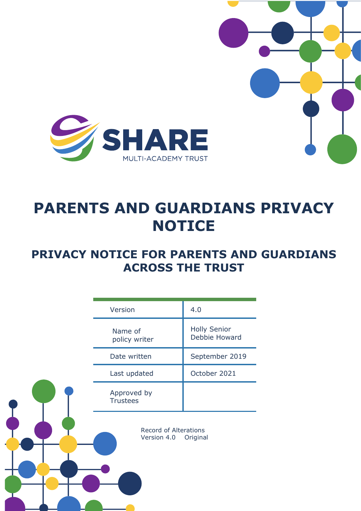

# **PARENTS AND GUARDIANS PRIVACY NOTICE**

# **PRIVACY NOTICE FOR PARENTS AND GUARDIANS ACROSS THE TRUST**

| Version                                                 | 4.0                                  |
|---------------------------------------------------------|--------------------------------------|
| Name of<br>policy writer                                | <b>Holly Senior</b><br>Debbie Howard |
| Date written                                            | September 2019                       |
| Last updated                                            | October 2021                         |
| Approved by<br><b>Trustees</b>                          |                                      |
| <b>Record of Alterations</b><br>Version 4.0<br>Original |                                      |
|                                                         |                                      |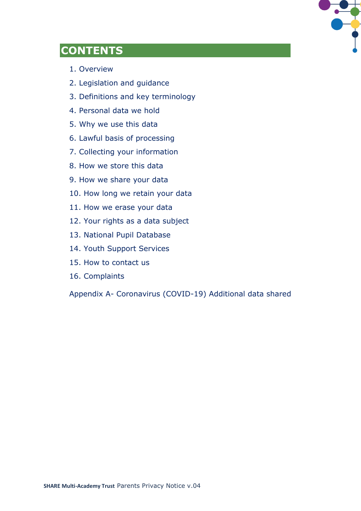

# **CONTENTS**

- 1. Overview
- 2. Legislation and guidance
- 3. Definitions and key terminology
- 4. Personal data we hold
- 5. Why we use this data
- 6. Lawful basis of processing
- 7. Collecting your information
- 8. How we store this data
- 9. How we share your data
- 10. How long we retain your data
- 11. How we erase your data
- 12. Your rights as a data subject
- 13. National Pupil Database
- 14. Youth Support Services
- 15. How to contact us
- 16. Complaints

Appendix A- Coronavirus (COVID-19) Additional data shared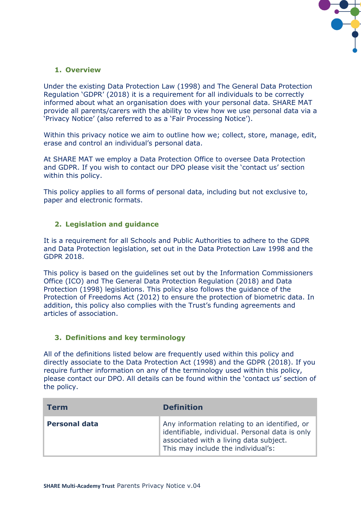

# **1. Overview**

Under the existing Data Protection Law (1998) and The General Data Protection Regulation 'GDPR' (2018) it is a requirement for all individuals to be correctly informed about what an organisation does with your personal data. SHARE MAT provide all parents/carers with the ability to view how we use personal data via a 'Privacy Notice' (also referred to as a 'Fair Processing Notice').

Within this privacy notice we aim to outline how we; collect, store, manage, edit, erase and control an individual's personal data.

At SHARE MAT we employ a Data Protection Office to oversee Data Protection and GDPR. If you wish to contact our DPO please visit the 'contact us' section within this policy.

This policy applies to all forms of personal data, including but not exclusive to, paper and electronic formats.

### **2. Legislation and guidance**

It is a requirement for all Schools and Public Authorities to adhere to the GDPR and Data Protection legislation, set out in the Data Protection Law 1998 and the GDPR 2018.

This policy is based on the guidelines set out by the Information Commissioners Office (ICO) and The General Data Protection Regulation (2018) and Data Protection (1998) legislations. This policy also follows the guidance of the Protection of Freedoms Act (2012) to ensure the protection of biometric data. In addition, this policy also complies with the Trust's funding agreements and articles of association.

#### **3. Definitions and key terminology**

All of the definitions listed below are frequently used within this policy and directly associate to the Data Protection Act (1998) and the GDPR (2018). If you require further information on any of the terminology used within this policy, please contact our DPO. All details can be found within the 'contact us' section of the policy.

| <b>Term</b>          | <b>Definition</b>                                                                                                                                                                |
|----------------------|----------------------------------------------------------------------------------------------------------------------------------------------------------------------------------|
| <b>Personal data</b> | Any information relating to an identified, or<br>identifiable, individual. Personal data is only<br>associated with a living data subject.<br>This may include the individual's: |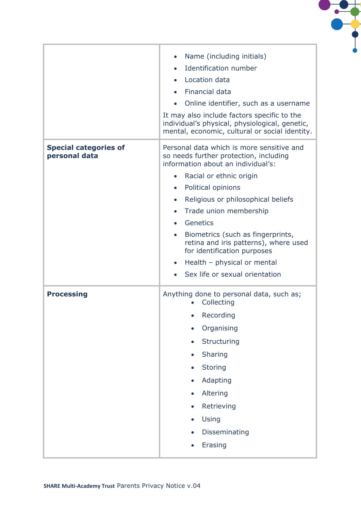

|                                               | Name (including initials)<br>$\bullet$<br>Identification number<br>Location data<br>Financial data<br>$\bullet$<br>Online identifier, such as a username<br>$\bullet$<br>It may also include factors specific to the<br>individual's physical, physiological, genetic,<br>mental, economic, cultural or social identity.                                                                                                                                                                                                                     |
|-----------------------------------------------|----------------------------------------------------------------------------------------------------------------------------------------------------------------------------------------------------------------------------------------------------------------------------------------------------------------------------------------------------------------------------------------------------------------------------------------------------------------------------------------------------------------------------------------------|
| <b>Special categories of</b><br>personal data | Personal data which is more sensitive and<br>so needs further protection, including<br>information about an individual's:<br>Racial or ethnic origin<br>$\bullet$<br>Political opinions<br>$\bullet$<br>Religious or philosophical beliefs<br>$\bullet$<br>Trade union membership<br>$\bullet$<br>Genetics<br>$\bullet$<br>Biometrics (such as fingerprints,<br>$\bullet$<br>retina and iris patterns), where used<br>for identification purposes<br>Health - physical or mental<br>$\bullet$<br>Sex life or sexual orientation<br>$\bullet$ |
| <b>Processing</b>                             | Anything done to personal data, such as;<br>Collecting<br>Recording<br>Organising<br>Structuring<br>Sharing<br>$\bullet$<br><b>Storing</b><br>Adapting<br>Altering<br>Retrieving<br>Using<br>Disseminating<br>Erasing                                                                                                                                                                                                                                                                                                                        |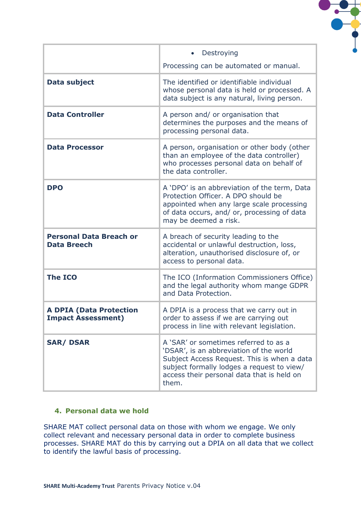

|                                                             | Destroying<br>Processing can be automated or manual.                                                                                                                                                                                 |
|-------------------------------------------------------------|--------------------------------------------------------------------------------------------------------------------------------------------------------------------------------------------------------------------------------------|
| <b>Data subject</b>                                         | The identified or identifiable individual<br>whose personal data is held or processed. A<br>data subject is any natural, living person.                                                                                              |
| <b>Data Controller</b>                                      | A person and/ or organisation that<br>determines the purposes and the means of<br>processing personal data.                                                                                                                          |
| <b>Data Processor</b>                                       | A person, organisation or other body (other<br>than an employee of the data controller)<br>who processes personal data on behalf of<br>the data controller.                                                                          |
| <b>DPO</b>                                                  | A 'DPO' is an abbreviation of the term, Data<br>Protection Officer. A DPO should be<br>appointed when any large scale processing<br>of data occurs, and/ or, processing of data<br>may be deemed a risk.                             |
| <b>Personal Data Breach or</b><br><b>Data Breech</b>        | A breach of security leading to the<br>accidental or unlawful destruction, loss,<br>alteration, unauthorised disclosure of, or<br>access to personal data.                                                                           |
| <b>The ICO</b>                                              | The ICO (Information Commissioners Office)<br>and the legal authority whom mange GDPR<br>and Data Protection.                                                                                                                        |
| <b>A DPIA (Data Protection</b><br><b>Impact Assessment)</b> | A DPIA is a process that we carry out in<br>order to assess if we are carrying out<br>process in line with relevant legislation.                                                                                                     |
| <b>SAR/DSAR</b>                                             | A 'SAR' or sometimes referred to as a<br>'DSAR', is an abbreviation of the world<br>Subject Access Request. This is when a data<br>subject formally lodges a request to view/<br>access their personal data that is held on<br>them. |

### **4. Personal data we hold**

SHARE MAT collect personal data on those with whom we engage. We only collect relevant and necessary personal data in order to complete business processes. SHARE MAT do this by carrying out a DPIA on all data that we collect to identify the lawful basis of processing.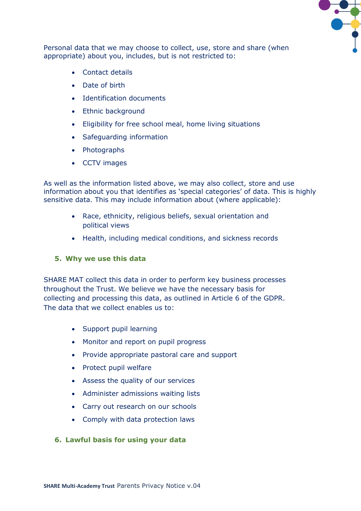

Personal data that we may choose to collect, use, store and share (when appropriate) about you, includes, but is not restricted to:

- Contact details
- Date of birth
- Identification documents
- Ethnic background
- Eligibility for free school meal, home living situations
- Safeguarding information
- Photographs
- CCTV images

As well as the information listed above, we may also collect, store and use information about you that identifies as 'special categories' of data. This is highly sensitive data. This may include information about (where applicable):

- Race, ethnicity, religious beliefs, sexual orientation and political views
- Health, including medical conditions, and sickness records

### **5. Why we use this data**

SHARE MAT collect this data in order to perform key business processes throughout the Trust. We believe we have the necessary basis for collecting and processing this data, as outlined in Article 6 of the GDPR. The data that we collect enables us to:

- Support pupil learning
- Monitor and report on pupil progress
- Provide appropriate pastoral care and support
- Protect pupil welfare
- Assess the quality of our services
- Administer admissions waiting lists
- Carry out research on our schools
- Comply with data protection laws

### **6. Lawful basis for using your data**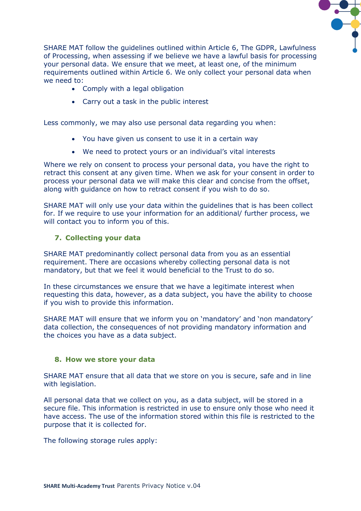

SHARE MAT follow the guidelines outlined within Article 6, The GDPR, Lawfulness of Processing, when assessing if we believe we have a lawful basis for processing your personal data. We ensure that we meet, at least one, of the minimum requirements outlined within Article 6. We only collect your personal data when we need to:

- Comply with a legal obligation
- Carry out a task in the public interest

Less commonly, we may also use personal data regarding you when:

- You have given us consent to use it in a certain way
- We need to protect yours or an individual's vital interests

Where we rely on consent to process your personal data, you have the right to retract this consent at any given time. When we ask for your consent in order to process your personal data we will make this clear and concise from the offset, along with guidance on how to retract consent if you wish to do so.

SHARE MAT will only use your data within the guidelines that is has been collect for. If we require to use your information for an additional/ further process, we will contact you to inform you of this.

### **7. Collecting your data**

SHARE MAT predominantly collect personal data from you as an essential requirement. There are occasions whereby collecting personal data is not mandatory, but that we feel it would beneficial to the Trust to do so.

In these circumstances we ensure that we have a legitimate interest when requesting this data, however, as a data subject, you have the ability to choose if you wish to provide this information.

SHARE MAT will ensure that we inform you on 'mandatory' and 'non mandatory' data collection, the consequences of not providing mandatory information and the choices you have as a data subject.

#### **8. How we store your data**

SHARE MAT ensure that all data that we store on you is secure, safe and in line with legislation.

All personal data that we collect on you, as a data subject, will be stored in a secure file. This information is restricted in use to ensure only those who need it have access. The use of the information stored within this file is restricted to the purpose that it is collected for.

The following storage rules apply: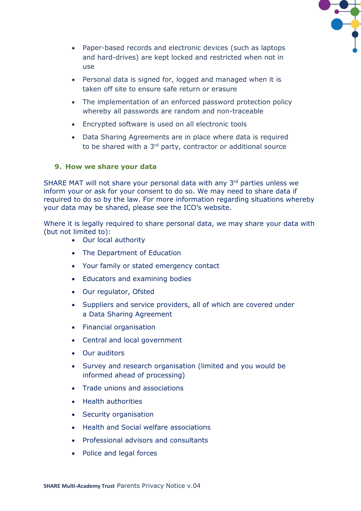

- Paper-based records and electronic devices (such as laptops and hard-drives) are kept locked and restricted when not in use
- Personal data is signed for, logged and managed when it is taken off site to ensure safe return or erasure
- The implementation of an enforced password protection policy whereby all passwords are random and non-traceable
- Encrypted software is used on all electronic tools
- Data Sharing Agreements are in place where data is required to be shared with a 3<sup>rd</sup> party, contractor or additional source

### **9. How we share your data**

SHARE MAT will not share your personal data with any 3rd parties unless we inform your or ask for your consent to do so. We may need to share data if required to do so by the law. For more information regarding situations whereby your data may be shared, please see the ICO's website.

Where it is legally required to share personal data, we may share your data with (but not limited to):

- Our local authority
- The Department of Education
- Your family or stated emergency contact
- Educators and examining bodies
- Our regulator, Ofsted
- Suppliers and service providers, all of which are covered under a Data Sharing Agreement
- Financial organisation
- Central and local government
- Our auditors
- Survey and research organisation (limited and you would be informed ahead of processing)
- Trade unions and associations
- Health authorities
- Security organisation
- Health and Social welfare associations
- Professional advisors and consultants
- Police and legal forces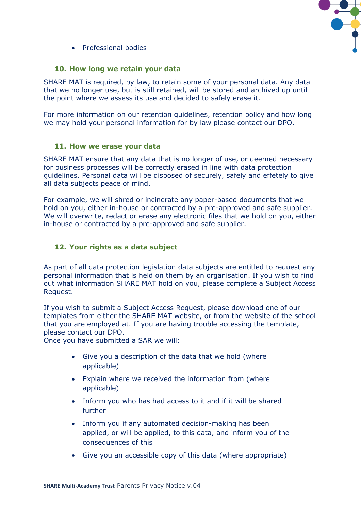

• Professional bodies

#### **10. How long we retain your data**

SHARE MAT is required, by law, to retain some of your personal data. Any data that we no longer use, but is still retained, will be stored and archived up until the point where we assess its use and decided to safely erase it.

For more information on our retention guidelines, retention policy and how long we may hold your personal information for by law please contact our DPO.

#### **11. How we erase your data**

SHARE MAT ensure that any data that is no longer of use, or deemed necessary for business processes will be correctly erased in line with data protection guidelines. Personal data will be disposed of securely, safely and effetely to give all data subjects peace of mind.

For example, we will shred or incinerate any paper-based documents that we hold on you, either in-house or contracted by a pre-approved and safe supplier. We will overwrite, redact or erase any electronic files that we hold on you, either in-house or contracted by a pre-approved and safe supplier.

### **12. Your rights as a data subject**

As part of all data protection legislation data subjects are entitled to request any personal information that is held on them by an organisation. If you wish to find out what information SHARE MAT hold on you, please complete a Subject Access Request.

If you wish to submit a Subject Access Request, please download one of our templates from either the SHARE MAT website, or from the website of the school that you are employed at. If you are having trouble accessing the template, please contact our DPO.

Once you have submitted a SAR we will:

- Give you a description of the data that we hold (where applicable)
- Explain where we received the information from (where applicable)
- Inform you who has had access to it and if it will be shared further
- Inform you if any automated decision-making has been applied, or will be applied, to this data, and inform you of the consequences of this
- Give you an accessible copy of this data (where appropriate)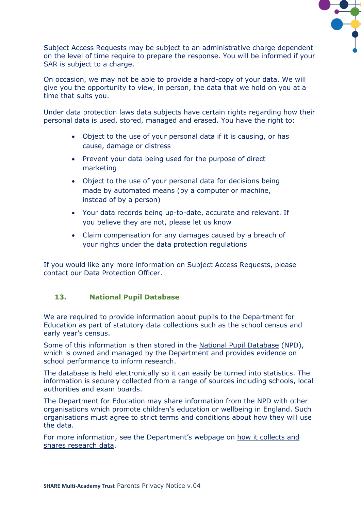

Subject Access Requests may be subject to an administrative charge dependent on the level of time require to prepare the response. You will be informed if your SAR is subject to a charge.

On occasion, we may not be able to provide a hard-copy of your data. We will give you the opportunity to view, in person, the data that we hold on you at a time that suits you.

Under data protection laws data subjects have certain rights regarding how their personal data is used, stored, managed and erased. You have the right to:

- Object to the use of your personal data if it is causing, or has cause, damage or distress
- Prevent your data being used for the purpose of direct marketing
- Object to the use of your personal data for decisions being made by automated means (by a computer or machine, instead of by a person)
- Your data records being up-to-date, accurate and relevant. If you believe they are not, please let us know
- Claim compensation for any damages caused by a breach of your rights under the data protection regulations

If you would like any more information on Subject Access Requests, please contact our Data Protection Officer.

# **13. National Pupil Database**

We are required to provide information about pupils to the Department for Education as part of statutory data collections such as the school census and early year's census.

Some of this information is then stored in the [National Pupil Database](https://www.gov.uk/government/publications/national-pupil-database-user-guide-and-supporting-information) (NPD), which is owned and managed by the Department and provides evidence on school performance to inform research.

The database is held electronically so it can easily be turned into statistics. The information is securely collected from a range of sources including schools, local authorities and exam boards.

The Department for Education may share information from the NPD with other organisations which promote children's education or wellbeing in England. Such organisations must agree to strict terms and conditions about how they will use the data.

For more information, see the Department's webpage on [how it collects and](https://www.gov.uk/data-protection-how-we-collect-and-share-research-data)  [shares research data.](https://www.gov.uk/data-protection-how-we-collect-and-share-research-data)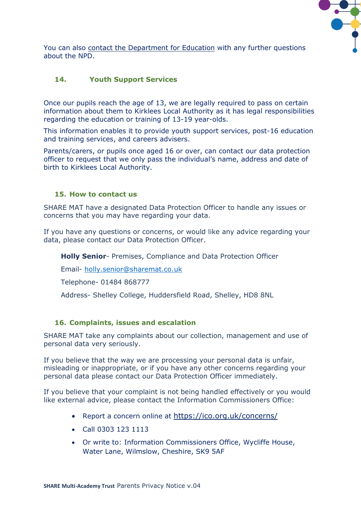

You can also [contact the Department for Education](https://www.gov.uk/contact-dfe) with any further questions about the NPD.

# **14. Youth Support Services**

Once our pupils reach the age of 13, we are legally required to pass on certain information about them to Kirklees Local Authority as it has legal responsibilities regarding the education or training of 13-19 year-olds.

This information enables it to provide youth support services, post-16 education and training services, and careers advisers.

Parents/carers, or pupils once aged 16 or over, can contact our data protection officer to request that we only pass the individual's name, address and date of birth to Kirklees Local Authority.

#### **15. How to contact us**

SHARE MAT have a designated Data Protection Officer to handle any issues or concerns that you may have regarding your data.

If you have any questions or concerns, or would like any advice regarding your data, please contact our Data Protection Officer.

**Holly Senior**- Premises, Compliance and Data Protection Officer

Email- [holly.senior@sharemat.co.uk](mailto:holly.senior@sharemat.org)

Telephone- 01484 868777

Address- Shelley College, Huddersfield Road, Shelley, HD8 8NL

### **16. Complaints, issues and escalation**

SHARE MAT take any complaints about our collection, management and use of personal data very seriously.

If you believe that the way we are processing your personal data is unfair, misleading or inappropriate, or if you have any other concerns regarding your personal data please contact our Data Protection Officer immediately.

If you believe that your complaint is not being handled effectively or you would like external advice, please contact the Information Commissioners Office:

- Report a concern online at <https://ico.org.uk/concerns/>
- Call 0303 123 1113
- Or write to: Information Commissioners Office, Wycliffe House, Water Lane, Wilmslow, Cheshire, SK9 5AF